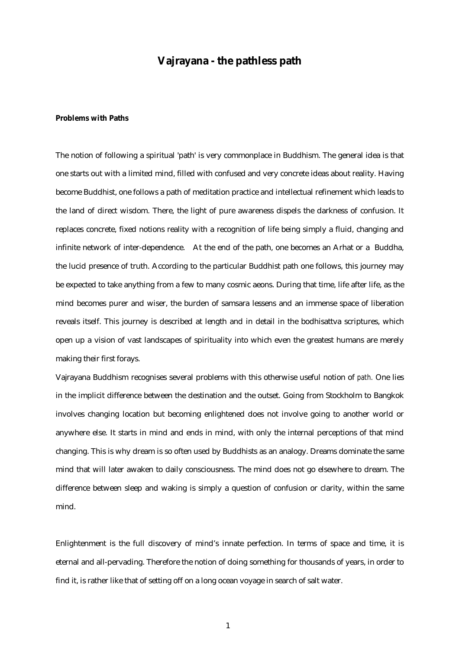# **Vajrayana - the pathless path**

## **Problems with Paths**

The notion of following a spiritual 'path' is very commonplace in Buddhism. The general idea is that one starts out with a limited mind, filled with confused and very concrete ideas about reality. Having become Buddhist, one follows a path of meditation practice and intellectual refinement which leads to the land of direct wisdom. There, the light of pure awareness dispels the darkness of confusion. It replaces concrete, fixed notions reality with a recognition of life being simply a fluid, changing and infinite network of inter-dependence. At the end of the path, one becomes an Arhat or a Buddha, the lucid presence of truth. According to the particular Buddhist path one follows, this journey may be expected to take anything from a few to many cosmic aeons. During that time, life after life, as the mind becomes purer and wiser, the burden of samsara lessens and an immense space of liberation reveals itself. This journey is described at length and in detail in the bodhisattva scriptures, which open up a vision of vast landscapes of spirituality into which even the greatest humans are merely making their first forays.

Vajrayana Buddhism recognises several problems with this otherwise useful notion of *path.* One lies in the implicit difference between the destination and the outset. Going from Stockholm to Bangkok involves changing location but becoming enlightened does not involve going to another world or anywhere else. It starts in mind and ends in mind, with only the internal perceptions of that mind changing. This is why dream is so often used by Buddhists as an analogy. Dreams dominate the same mind that will later awaken to daily consciousness. The mind does not go elsewhere to dream. The difference between sleep and waking is simply a question of confusion or clarity, within the same mind.

Enlightenment is the full discovery of mind's innate perfection. In terms of space and time, it is eternal and all-pervading. Therefore the notion of doing something for thousands of years, in order to find it, is rather like that of setting off on a long ocean voyage in search of salt water.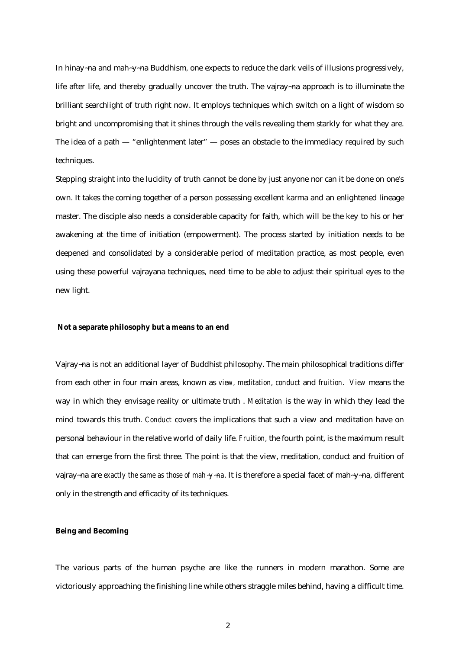In hinay~na and mah~y~na Buddhism, one expects to reduce the dark veils of illusions progressively, life after life, and thereby gradually uncover the truth. The vajray~na approach is to illuminate the brilliant searchlight of truth right now. It employs techniques which switch on a light of wisdom so bright and uncompromising that it shines through the veils revealing them starkly for what they are. The idea of a path — "enlightenment later" — poses an obstacle to the immediacy required by such techniques.

Stepping straight into the lucidity of truth cannot be done by just anyone nor can it be done on one's own. It takes the coming together of a person possessing excellent karma and an enlightened lineage master. The disciple also needs a considerable capacity for faith, which will be the key to his or her awakening at the time of initiation (empowerment). The process started by initiation needs to be deepened and consolidated by a considerable period of meditation practice, as most people, even using these powerful vajrayana techniques, need time to be able to adjust their spiritual eyes to the new light.

## **Not a separate philosophy but a means to an end**

Vajray~na is not an additional layer of Buddhist philosophy. The main philosophical traditions differ from each other in four main areas, known as *view, meditation, conduct* and *fruition*. *View* means the way in which they envisage reality or ultimate truth . *Meditation* is the way in which they lead the mind towards this truth. *Conduct* covers the implications that such a view and meditation have on personal behaviour in the relative world of daily life. *Fruition,* the fourth point, is the maximum result that can emerge from the first three. The point is that the view, meditation, conduct and fruition of vajray~na are *exactly the same as those of mah*~*y*~*na*. It is therefore a special facet of mah~y~na, different only in the strength and efficacity of its techniques.

## **Being and Becoming**

The various parts of the human psyche are like the runners in modern marathon. Some are victoriously approaching the finishing line while others straggle miles behind, having a difficult time.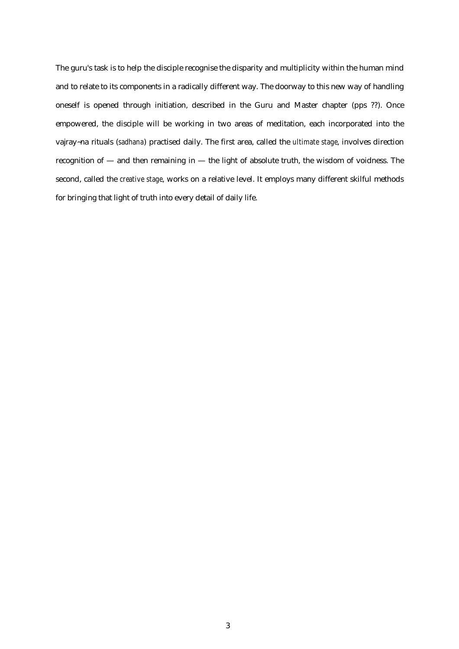The guru's task is to help the disciple recognise the disparity and multiplicity within the human mind and to relate to its components in a radically different way. The doorway to this new way of handling oneself is opened through initiation, described in the Guru and Master chapter (pps ??). Once empowered, the disciple will be working in two areas of meditation, each incorporated into the vajray~na rituals (*sadhana*) practised daily. The first area, called the *ultimate stage*, involves direction recognition of — and then remaining in — the light of absolute truth, the wisdom of voidness. The second, called the *creative stage*, works on a relative level. It employs many different skilful methods for bringing that light of truth into every detail of daily life.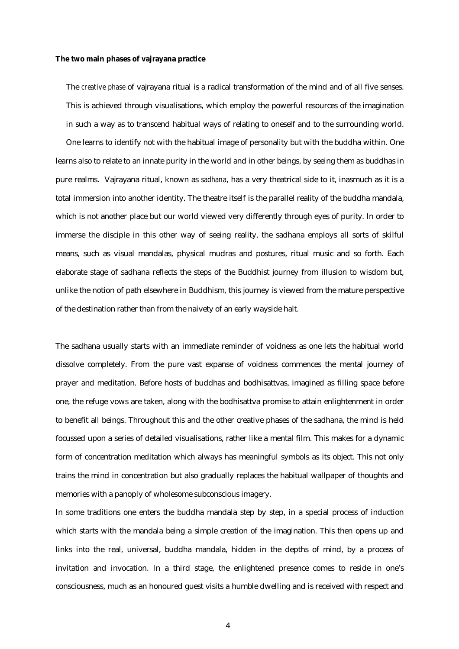### **The two main phases of vajrayana practice**

The *creative phase* of vajrayana ritual is a radical transformation of the mind and of all five senses. This is achieved through visualisations, which employ the powerful resources of the imagination in such a way as to transcend habitual ways of relating to oneself and to the surrounding world.

One learns to identify not with the habitual image of personality but with the buddha within. One learns also to relate to an innate purity in the world and in other beings, by seeing them as buddhas in pure realms. Vajrayana ritual, known as *sadhana*, has a very theatrical side to it, inasmuch as it is a total immersion into another identity. The theatre itself is the parallel reality of the buddha mandala, which is not another place but our world viewed very differently through eyes of purity. In order to immerse the disciple in this other way of seeing reality, the sadhana employs all sorts of skilful means, such as visual mandalas, physical mudras and postures, ritual music and so forth. Each elaborate stage of sadhana reflects the steps of the Buddhist journey from illusion to wisdom but, unlike the notion of path elsewhere in Buddhism, this journey is viewed from the mature perspective of the destination rather than from the naivety of an early wayside halt.

The sadhana usually starts with an immediate reminder of voidness as one lets the habitual world dissolve completely. From the pure vast expanse of voidness commences the mental journey of prayer and meditation. Before hosts of buddhas and bodhisattvas, imagined as filling space before one, the refuge vows are taken, along with the bodhisattva promise to attain enlightenment in order to benefit all beings. Throughout this and the other creative phases of the sadhana, the mind is held focussed upon a series of detailed visualisations, rather like a mental film. This makes for a dynamic form of concentration meditation which always has meaningful symbols as its object. This not only trains the mind in concentration but also gradually replaces the habitual wallpaper of thoughts and memories with a panoply of wholesome subconscious imagery.

In some traditions one enters the buddha mandala step by step, in a special process of induction which starts with the mandala being a simple creation of the imagination. This then opens up and links into the real, universal, buddha mandala, hidden in the depths of mind, by a process of invitation and invocation. In a third stage, the enlightened presence comes to reside in one's consciousness, much as an honoured guest visits a humble dwelling and is received with respect and

4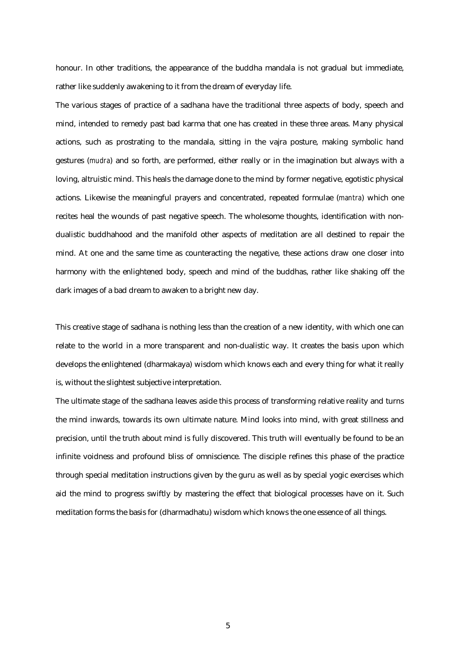honour. In other traditions, the appearance of the buddha mandala is not gradual but immediate, rather like suddenly awakening to it from the dream of everyday life.

The various stages of practice of a sadhana have the traditional three aspects of body, speech and mind, intended to remedy past bad karma that one has created in these three areas. Many physical actions, such as prostrating to the mandala, sitting in the vajra posture, making symbolic hand gestures (*mudra*) and so forth, are performed, either really or in the imagination but always with a loving, altruistic mind. This heals the damage done to the mind by former negative, egotistic physical actions. Likewise the meaningful prayers and concentrated, repeated formulae (*mantra*) which one recites heal the wounds of past negative speech. The wholesome thoughts, identification with nondualistic buddhahood and the manifold other aspects of meditation are all destined to repair the mind. At one and the same time as counteracting the negative, these actions draw one closer into harmony with the enlightened body, speech and mind of the buddhas, rather like shaking off the dark images of a bad dream to awaken to a bright new day.

This creative stage of sadhana is nothing less than the creation of a new identity, with which one can relate to the world in a more transparent and non-dualistic way. It creates the basis upon which develops the enlightened (dharmakaya) wisdom which knows each and every thing for what it really is, without the slightest subjective interpretation.

The ultimate stage of the sadhana leaves aside this process of transforming relative reality and turns the mind inwards, towards its own ultimate nature. Mind looks into mind, with great stillness and precision, until the truth about mind is fully discovered. This truth will eventually be found to be an infinite voidness and profound bliss of omniscience. The disciple refines this phase of the practice through special meditation instructions given by the guru as well as by special yogic exercises which aid the mind to progress swiftly by mastering the effect that biological processes have on it. Such meditation forms the basis for (dharmadhatu) wisdom which knows the one essence of all things.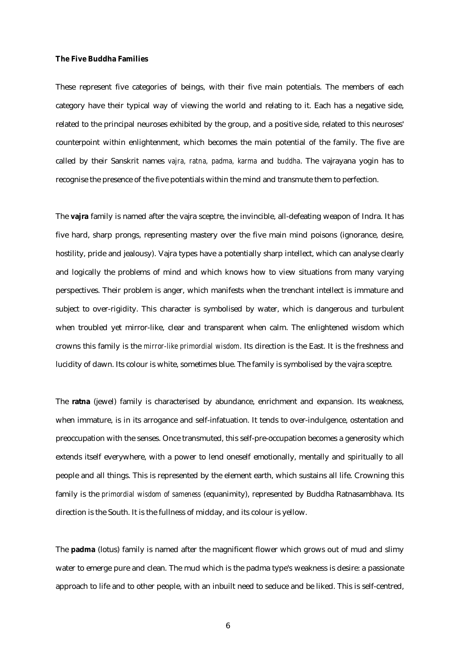### **The Five Buddha Families**

These represent five categories of beings, with their five main potentials. The members of each category have their typical way of viewing the world and relating to it. Each has a negative side, related to the principal neuroses exhibited by the group, and a positive side, related to this neuroses' counterpoint within enlightenment, which becomes the main potential of the family. The five are called by their Sanskrit names *vajra, ratna, padma, karma* and *buddha*. The vajrayana yogin has to recognise the presence of the five potentials within the mind and transmute them to perfection.

The **vajra** family is named after the vajra sceptre, the invincible, all-defeating weapon of Indra. It has five hard, sharp prongs, representing mastery over the five main mind poisons (ignorance, desire, hostility, pride and jealousy). Vajra types have a potentially sharp intellect, which can analyse clearly and logically the problems of mind and which knows how to view situations from many varying perspectives. Their problem is anger, which manifests when the trenchant intellect is immature and subject to over-rigidity. This character is symbolised by water, which is dangerous and turbulent when troubled yet mirror-like, clear and transparent when calm. The enlightened wisdom which crowns this family is the *mirror-like primordial wisdom*. Its direction is the East. It is the freshness and lucidity of dawn. Its colour is white, sometimes blue. The family is symbolised by the vajra sceptre.

The **ratna** (jewel) family is characterised by abundance, enrichment and expansion. Its weakness, when immature, is in its arrogance and self-infatuation. It tends to over-indulgence, ostentation and preoccupation with the senses. Once transmuted, this self-pre-occupation becomes a generosity which extends itself everywhere, with a power to lend oneself emotionally, mentally and spiritually to all people and all things. This is represented by the element earth, which sustains all life. Crowning this family is the *primordial wisdom of sameness* (equanimity), represented by Buddha Ratnasambhava. Its direction is the South. It is the fullness of midday, and its colour is yellow.

The **padma** (lotus) family is named after the magnificent flower which grows out of mud and slimy water to emerge pure and clean. The mud which is the padma type's weakness is desire: a passionate approach to life and to other people, with an inbuilt need to seduce and be liked. This is self-centred,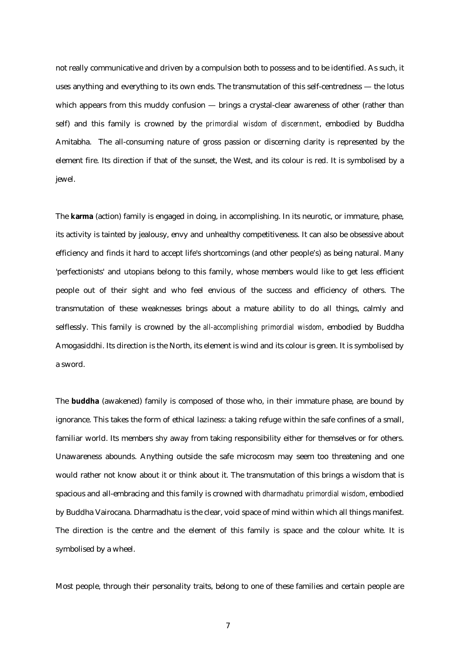not really communicative and driven by a compulsion both to possess and to be identified. As such, it uses anything and everything to its own ends. The transmutation of this self-centredness — the lotus which appears from this muddy confusion — brings a crystal-clear awareness of other (rather than self) and this family is crowned by the *primordial wisdom of discernment*, embodied by Buddha Amitabha. The all-consuming nature of gross passion or discerning clarity is represented by the element fire. Its direction if that of the sunset, the West, and its colour is red. It is symbolised by a jewel.

The **karma** (action) family is engaged in doing, in accomplishing. In its neurotic, or immature, phase, its activity is tainted by jealousy, envy and unhealthy competitiveness. It can also be obsessive about efficiency and finds it hard to accept life's shortcomings (and other people's) as being natural. Many 'perfectionists' and utopians belong to this family, whose members would like to get less efficient people out of their sight and who feel envious of the success and efficiency of others. The transmutation of these weaknesses brings about a mature ability to do all things, calmly and selflessly. This family is crowned by the *all-accomplishing primordial wisdom*, embodied by Buddha Amogasiddhi. Its direction is the North, its element is wind and its colour is green. It is symbolised by a sword.

The **buddha** (awakened) family is composed of those who, in their immature phase, are bound by ignorance. This takes the form of ethical laziness: a taking refuge within the safe confines of a small, familiar world. Its members shy away from taking responsibility either for themselves or for others. Unawareness abounds. Anything outside the safe microcosm may seem too threatening and one would rather not know about it or think about it. The transmutation of this brings a wisdom that is spacious and all-embracing and this family is crowned with *dharmadhatu primordial wisdom*, embodied by Buddha Vairocana. Dharmadhatu is the clear, void space of mind within which all things manifest. The direction is the centre and the element of this family is space and the colour white. It is symbolised by a wheel.

Most people, through their personality traits, belong to one of these families and certain people are